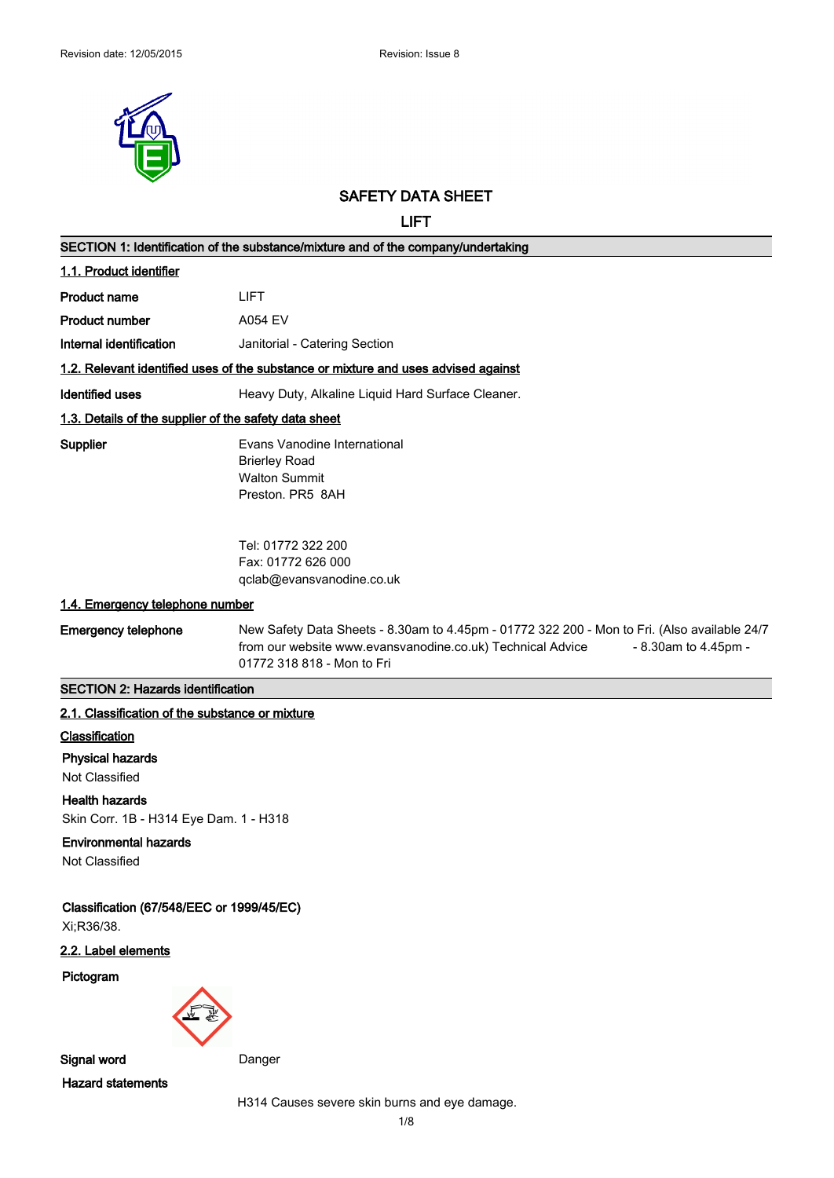

## **SAFETY DATA SHEET**

**LIFT**

|                                                                 | SECTION 1: Identification of the substance/mixture and of the company/undertaking                                                                                                                                |  |  |
|-----------------------------------------------------------------|------------------------------------------------------------------------------------------------------------------------------------------------------------------------------------------------------------------|--|--|
| 1.1. Product identifier                                         |                                                                                                                                                                                                                  |  |  |
| <b>Product name</b>                                             | <b>LIFT</b>                                                                                                                                                                                                      |  |  |
| <b>Product number</b>                                           | <b>A054 EV</b>                                                                                                                                                                                                   |  |  |
| Internal identification                                         | Janitorial - Catering Section                                                                                                                                                                                    |  |  |
|                                                                 | 1.2. Relevant identified uses of the substance or mixture and uses advised against                                                                                                                               |  |  |
| <b>Identified uses</b>                                          | Heavy Duty, Alkaline Liquid Hard Surface Cleaner.                                                                                                                                                                |  |  |
| 1.3. Details of the supplier of the safety data sheet           |                                                                                                                                                                                                                  |  |  |
| Supplier                                                        | Evans Vanodine International<br><b>Brierley Road</b><br><b>Walton Summit</b><br>Preston. PR5 8AH                                                                                                                 |  |  |
|                                                                 | Tel: 01772 322 200<br>Fax: 01772 626 000<br>qclab@evansvanodine.co.uk                                                                                                                                            |  |  |
| 1.4. Emergency telephone number                                 |                                                                                                                                                                                                                  |  |  |
| <b>Emergency telephone</b>                                      | New Safety Data Sheets - 8.30am to 4.45pm - 01772 322 200 - Mon to Fri. (Also available 24/7<br>from our website www.evansvanodine.co.uk) Technical Advice<br>- 8.30am to 4.45pm -<br>01772 318 818 - Mon to Fri |  |  |
| <b>SECTION 2: Hazards identification</b>                        |                                                                                                                                                                                                                  |  |  |
| 2.1. Classification of the substance or mixture                 |                                                                                                                                                                                                                  |  |  |
| Classification                                                  |                                                                                                                                                                                                                  |  |  |
| <b>Physical hazards</b><br>Not Classified                       |                                                                                                                                                                                                                  |  |  |
| <b>Health hazards</b><br>Skin Corr. 1B - H314 Eye Dam. 1 - H318 |                                                                                                                                                                                                                  |  |  |
| <b>Environmental hazards</b><br>Not Classified                  |                                                                                                                                                                                                                  |  |  |
| Classification (67/548/EEC or 1999/45/EC)<br>Xi;R36/38.         |                                                                                                                                                                                                                  |  |  |
| 2.2. Label elements                                             |                                                                                                                                                                                                                  |  |  |
| Pictogram                                                       |                                                                                                                                                                                                                  |  |  |
| Signal word                                                     | Danger                                                                                                                                                                                                           |  |  |
|                                                                 |                                                                                                                                                                                                                  |  |  |
| <b>Hazard statements</b>                                        |                                                                                                                                                                                                                  |  |  |

1/8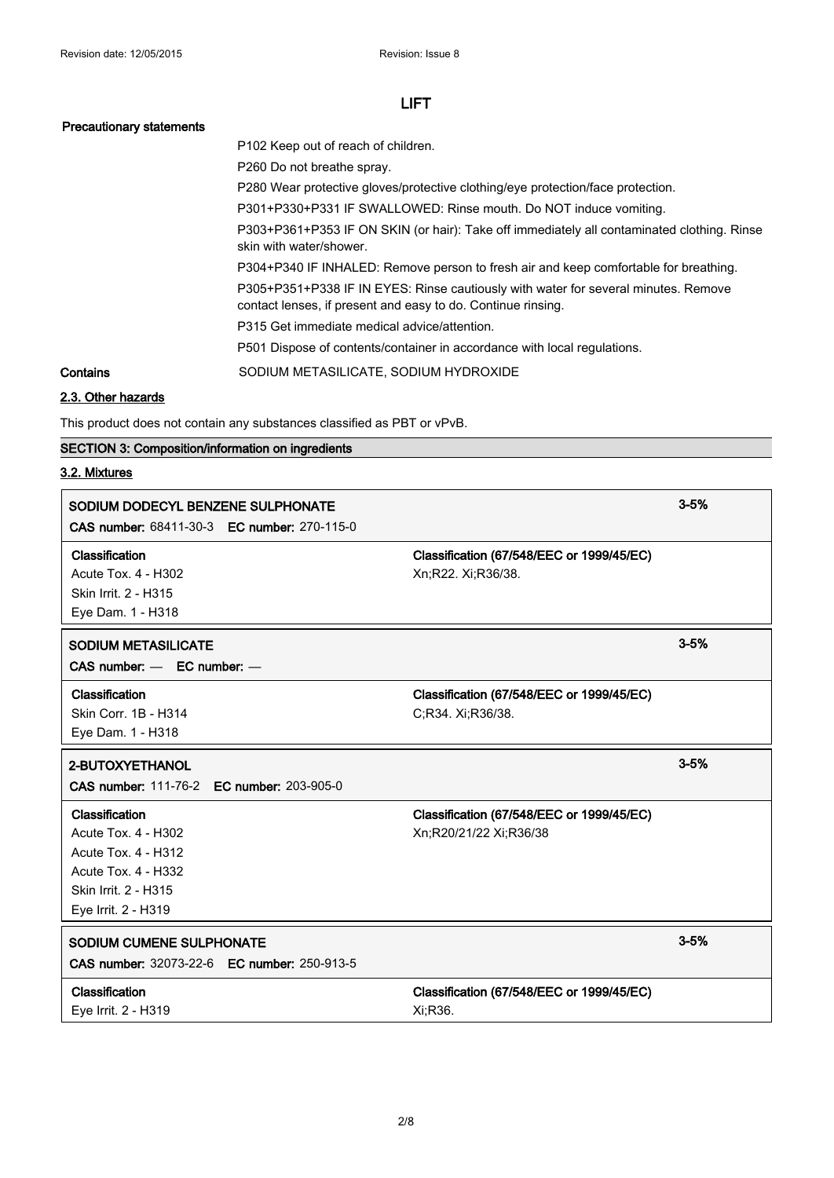#### **Precautionary statements**

P102 Keep out of reach of children. P260 Do not breathe spray.

P280 Wear protective gloves/protective clothing/eye protection/face protection.

P301+P330+P331 IF SWALLOWED: Rinse mouth. Do NOT induce vomiting.

P303+P361+P353 IF ON SKIN (or hair): Take off immediately all contaminated clothing. Rinse skin with water/shower.

P304+P340 IF INHALED: Remove person to fresh air and keep comfortable for breathing.

P305+P351+P338 IF IN EYES: Rinse cautiously with water for several minutes. Remove contact lenses, if present and easy to do. Continue rinsing.

P315 Get immediate medical advice/attention.

P501 Dispose of contents/container in accordance with local regulations.

**Contains** SODIUM METASILICATE, SODIUM HYDROXIDE

#### **2.3. Other hazards**

This product does not contain any substances classified as PBT or vPvB.

## **SECTION 3: Composition/information on ingredients**

#### **3.2. Mixtures**

| SODIUM DODECYL BENZENE SULPHONATE<br>CAS number: 68411-30-3 EC number: 270-115-0                                                                        |                                                                     | $3 - 5%$ |
|---------------------------------------------------------------------------------------------------------------------------------------------------------|---------------------------------------------------------------------|----------|
| Classification<br><b>Acute Tox. 4 - H302</b><br>Skin Irrit. 2 - H315<br>Eye Dam. 1 - H318                                                               | Classification (67/548/EEC or 1999/45/EC)<br>Xn;R22. Xi;R36/38.     |          |
| <b>SODIUM METASILICATE</b><br>$CAS$ number: $-$ EC number: $-$                                                                                          |                                                                     | $3 - 5%$ |
| Classification<br>Skin Corr. 1B - H314<br>Eye Dam. 1 - H318                                                                                             | Classification (67/548/EEC or 1999/45/EC)<br>C;R34. Xi;R36/38.      |          |
| 2-BUTOXYETHANOL<br><b>CAS number: 111-76-2 EC number: 203-905-0</b>                                                                                     |                                                                     | $3 - 5%$ |
| Classification<br><b>Acute Tox. 4 - H302</b><br><b>Acute Tox. 4 - H312</b><br><b>Acute Tox. 4 - H332</b><br>Skin Irrit. 2 - H315<br>Eye Irrit. 2 - H319 | Classification (67/548/EEC or 1999/45/EC)<br>Xn;R20/21/22 Xi;R36/38 |          |
| SODIUM CUMENE SULPHONATE<br><b>CAS number: 32073-22-6 EC number: 250-913-5</b>                                                                          |                                                                     | $3 - 5%$ |
| Classification<br>Eye Irrit. 2 - H319                                                                                                                   | Classification (67/548/EEC or 1999/45/EC)<br>Xi:R36.                |          |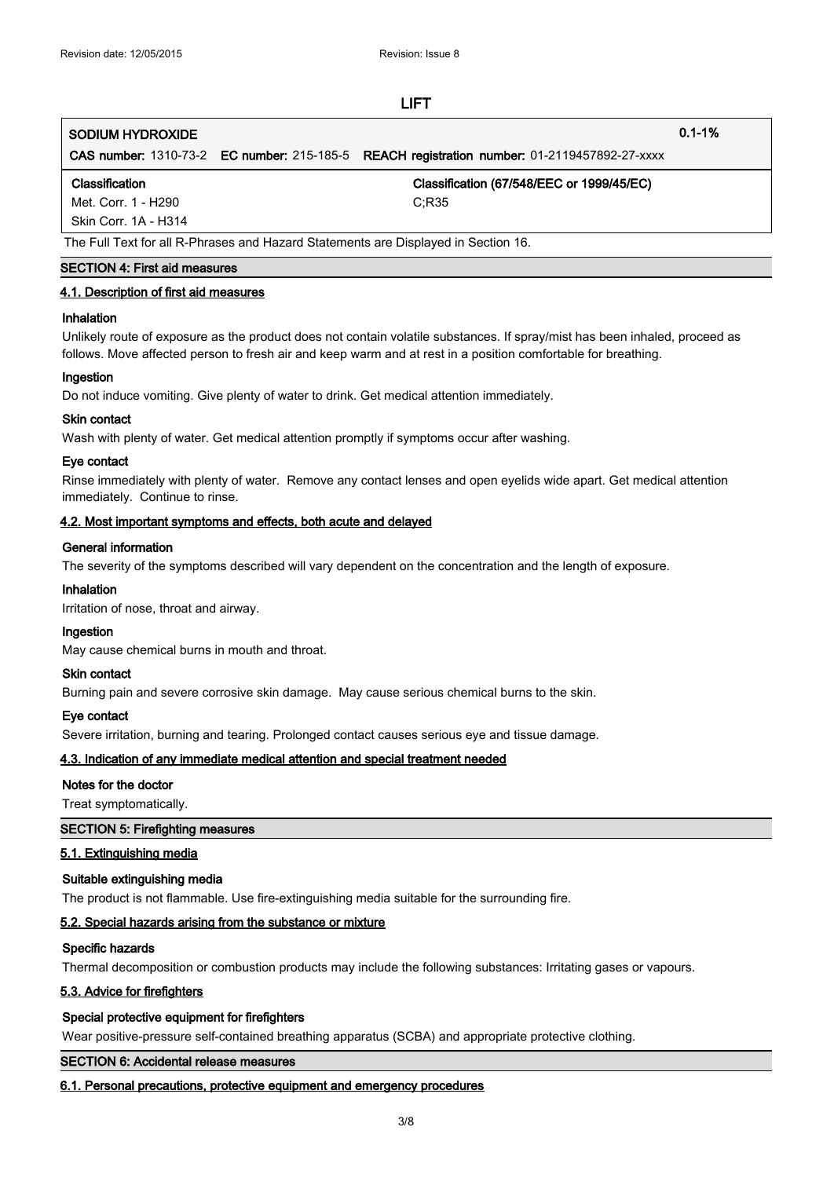## **SODIUM HYDROXIDE 0.1-1%**

**CAS number:** 1310-73-2 **EC number:** 215-185-5 **REACH registration number:** 01-2119457892-27-xxxx

#### **Classification Classification (67/548/EEC or 1999/45/EC)**

Met. Corr. 1 - H290 C;R35

Skin Corr. 1A - H314

The Full Text for all R-Phrases and Hazard Statements are Displayed in Section 16.

#### **SECTION 4: First aid measures**

#### **4.1. Description of first aid measures**

#### **Inhalation**

Unlikely route of exposure as the product does not contain volatile substances. If spray/mist has been inhaled, proceed as follows. Move affected person to fresh air and keep warm and at rest in a position comfortable for breathing.

#### **Ingestion**

Do not induce vomiting. Give plenty of water to drink. Get medical attention immediately.

#### **Skin contact**

Wash with plenty of water. Get medical attention promptly if symptoms occur after washing.

#### **Eye contact**

Rinse immediately with plenty of water. Remove any contact lenses and open eyelids wide apart. Get medical attention immediately. Continue to rinse.

#### **4.2. Most important symptoms and effects, both acute and delayed**

#### **General information**

The severity of the symptoms described will vary dependent on the concentration and the length of exposure.

#### **Inhalation**

Irritation of nose, throat and airway.

## **Ingestion**

May cause chemical burns in mouth and throat.

#### **Skin contact**

Burning pain and severe corrosive skin damage. May cause serious chemical burns to the skin.

#### **Eye contact**

Severe irritation, burning and tearing. Prolonged contact causes serious eye and tissue damage.

#### **4.3. Indication of any immediate medical attention and special treatment needed**

#### **Notes for the doctor**

Treat symptomatically.

#### **SECTION 5: Firefighting measures**

#### **5.1. Extinguishing media**

#### **Suitable extinguishing media**

The product is not flammable. Use fire-extinguishing media suitable for the surrounding fire.

#### **5.2. Special hazards arising from the substance or mixture**

#### **Specific hazards**

Thermal decomposition or combustion products may include the following substances: Irritating gases or vapours.

#### **5.3. Advice for firefighters**

#### **Special protective equipment for firefighters**

Wear positive-pressure self-contained breathing apparatus (SCBA) and appropriate protective clothing.

#### **SECTION 6: Accidental release measures**

#### **6.1. Personal precautions, protective equipment and emergency procedures**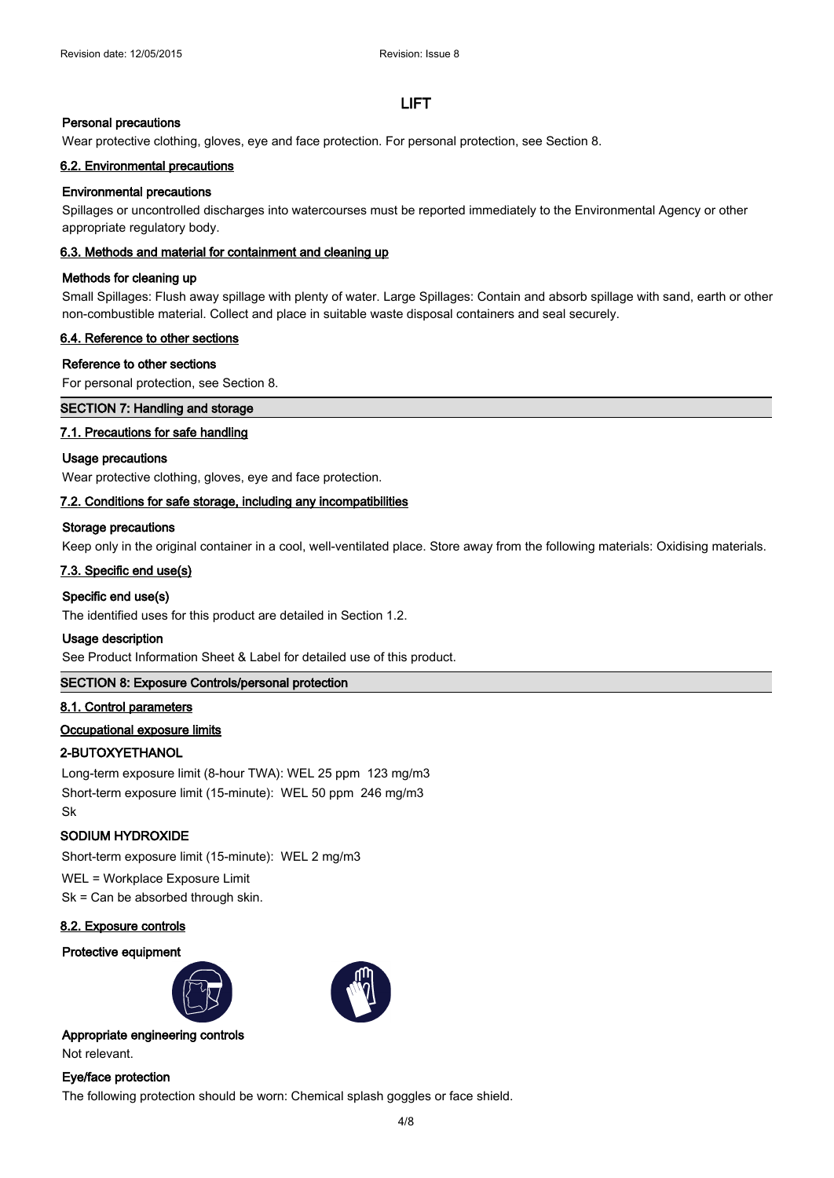#### **Personal precautions**

Wear protective clothing, gloves, eye and face protection. For personal protection, see Section 8.

#### **6.2. Environmental precautions**

#### **Environmental precautions**

Spillages or uncontrolled discharges into watercourses must be reported immediately to the Environmental Agency or other appropriate regulatory body.

#### **6.3. Methods and material for containment and cleaning up**

#### **Methods for cleaning up**

Small Spillages: Flush away spillage with plenty of water. Large Spillages: Contain and absorb spillage with sand, earth or other non-combustible material. Collect and place in suitable waste disposal containers and seal securely.

#### **6.4. Reference to other sections**

#### **Reference to other sections**

For personal protection, see Section 8.

#### **SECTION 7: Handling and storage**

#### **7.1. Precautions for safe handling**

#### **Usage precautions**

Wear protective clothing, gloves, eye and face protection.

#### **7.2. Conditions for safe storage, including any incompatibilities**

#### **Storage precautions**

Keep only in the original container in a cool, well-ventilated place. Store away from the following materials: Oxidising materials.

#### **7.3. Specific end use(s)**

#### **Specific end use(s)**

The identified uses for this product are detailed in Section 1.2.

#### **Usage description**

See Product Information Sheet & Label for detailed use of this product.

#### **SECTION 8: Exposure Controls/personal protection**

#### **8.1. Control parameters**

#### **Occupational exposure limits**

#### **2-BUTOXYETHANOL**

Long-term exposure limit (8-hour TWA): WEL 25 ppm 123 mg/m3 Short-term exposure limit (15-minute): WEL 50 ppm 246 mg/m3 Sk

#### **SODIUM HYDROXIDE**

Short-term exposure limit (15-minute): WEL 2 mg/m3

## WEL = Workplace Exposure Limit

Sk = Can be absorbed through skin.

#### **8.2. Exposure controls**

#### **Protective equipment**





#### **Appropriate engineering controls** Not relevant.

#### **Eye/face protection**

The following protection should be worn: Chemical splash goggles or face shield.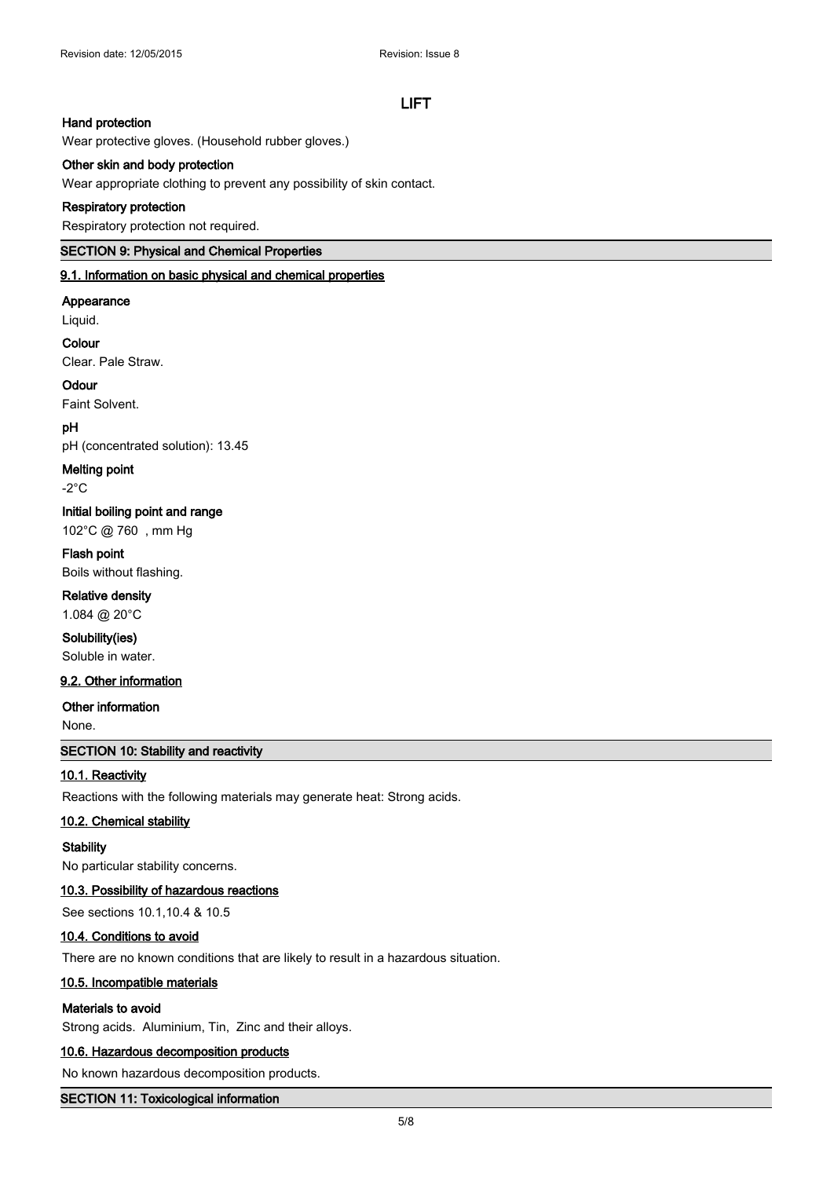## **Hand protection**

Wear protective gloves. (Household rubber gloves.)

#### **Other skin and body protection**

Wear appropriate clothing to prevent any possibility of skin contact.

#### **Respiratory protection**

Respiratory protection not required.

### **SECTION 9: Physical and Chemical Properties**

**9.1. Information on basic physical and chemical properties**

#### **Appearance**

Liquid.

## **Colour**

Clear. Pale Straw.

## **Odour**

Faint Solvent.

#### **pH**

pH (concentrated solution): 13.45

#### **Melting point**

-2°C

## **Initial boiling point and range**

102°C @ 760 , mm Hg

## **Flash point**

Boils without flashing.

## **Relative density**

1.084 @ 20°C

## **Solubility(ies)**

Soluble in water.

## **9.2. Other information**

#### **Other information**

None.

#### **SECTION 10: Stability and reactivity**

#### **10.1. Reactivity**

Reactions with the following materials may generate heat: Strong acids.

#### **10.2. Chemical stability**

#### **Stability**

No particular stability concerns.

#### **10.3. Possibility of hazardous reactions**

See sections 10.1,10.4 & 10.5

#### **10.4. Conditions to avoid**

There are no known conditions that are likely to result in a hazardous situation.

#### **10.5. Incompatible materials**

#### **Materials to avoid**

Strong acids. Aluminium, Tin, Zinc and their alloys.

#### **10.6. Hazardous decomposition products**

No known hazardous decomposition products.

#### **SECTION 11: Toxicological information**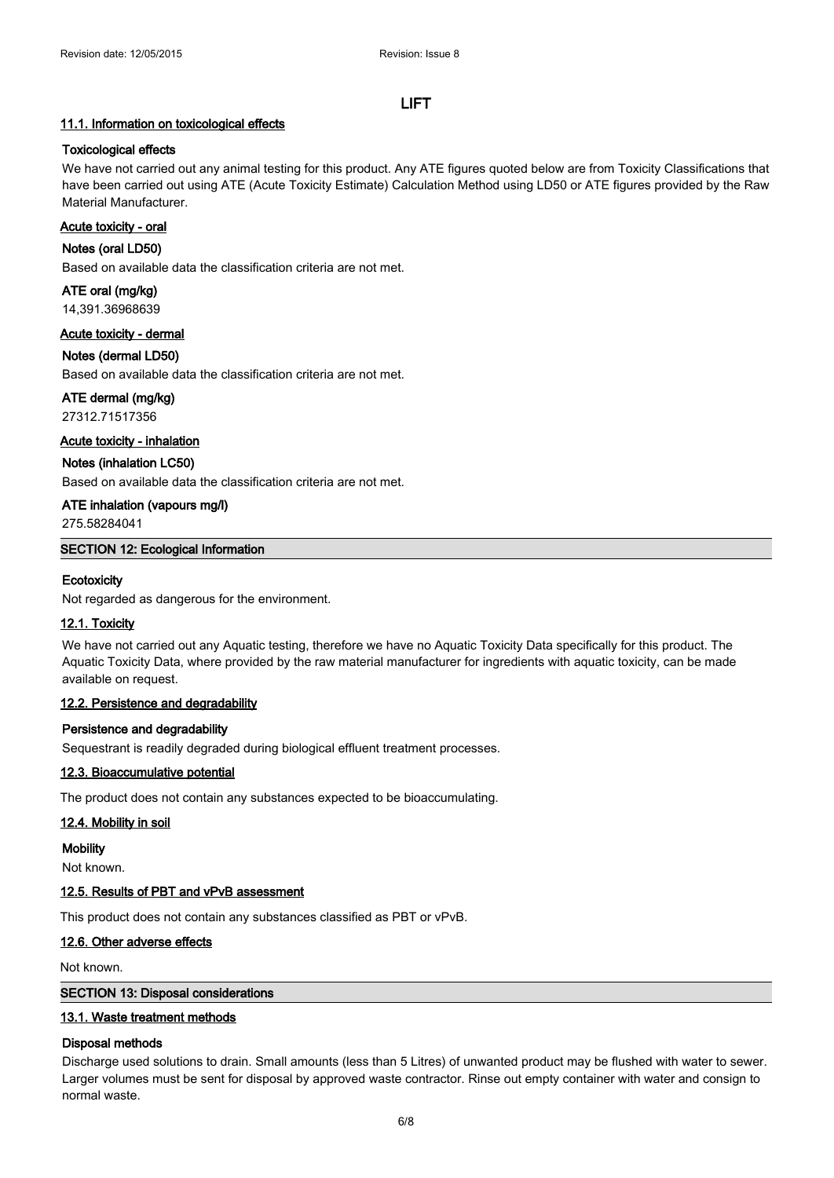#### **11.1. Information on toxicological effects**

#### **Toxicological effects**

We have not carried out any animal testing for this product. Any ATE figures quoted below are from Toxicity Classifications that have been carried out using ATE (Acute Toxicity Estimate) Calculation Method using LD50 or ATE figures provided by the Raw Material Manufacturer.

#### **Acute toxicity - oral**

#### **Notes (oral LD50)**

Based on available data the classification criteria are not met.

**ATE oral (mg/kg)** 14,391.36968639

**Acute toxicity - dermal**

# **Notes (dermal LD50)**

Based on available data the classification criteria are not met.

**ATE dermal (mg/kg)**

27312.71517356

**Acute toxicity - inhalation**

**Notes (inhalation LC50)**

Based on available data the classification criteria are not met.

**ATE inhalation (vapours mg/l)**

275.58284041

**SECTION 12: Ecological Information**

#### **Ecotoxicity**

Not regarded as dangerous for the environment.

#### **12.1. Toxicity**

We have not carried out any Aquatic testing, therefore we have no Aquatic Toxicity Data specifically for this product. The Aquatic Toxicity Data, where provided by the raw material manufacturer for ingredients with aquatic toxicity, can be made available on request.

### **12.2. Persistence and degradability**

#### **Persistence and degradability**

Sequestrant is readily degraded during biological effluent treatment processes.

#### **12.3. Bioaccumulative potential**

The product does not contain any substances expected to be bioaccumulating.

#### **12.4. Mobility in soil**

**Mobility**

Not known.

#### **12.5. Results of PBT and vPvB assessment**

This product does not contain any substances classified as PBT or vPvB.

#### **12.6. Other adverse effects**

Not known.

## **SECTION 13: Disposal considerations**

#### **13.1. Waste treatment methods**

#### **Disposal methods**

Discharge used solutions to drain. Small amounts (less than 5 Litres) of unwanted product may be flushed with water to sewer. Larger volumes must be sent for disposal by approved waste contractor. Rinse out empty container with water and consign to normal waste.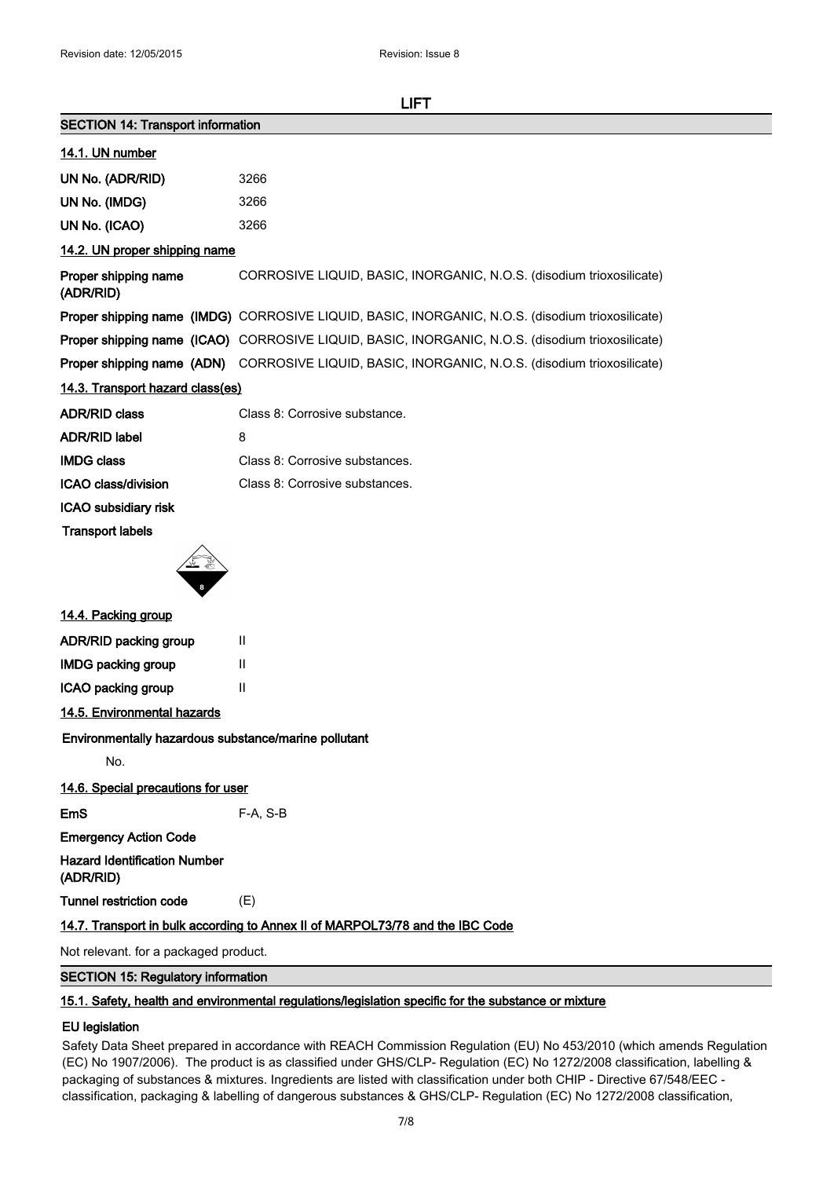| <b>SECTION 14: Transport information</b>             |                                                                                                  |
|------------------------------------------------------|--------------------------------------------------------------------------------------------------|
| 14.1. UN number                                      |                                                                                                  |
| UN No. (ADR/RID)                                     | 3266                                                                                             |
| UN No. (IMDG)                                        | 3266                                                                                             |
| UN No. (ICAO)                                        | 3266                                                                                             |
| 14.2. UN proper shipping name                        |                                                                                                  |
| Proper shipping name<br>(ADR/RID)                    | CORROSIVE LIQUID, BASIC, INORGANIC, N.O.S. (disodium trioxosilicate)                             |
|                                                      | Proper shipping name (IMDG) CORROSIVE LIQUID, BASIC, INORGANIC, N.O.S. (disodium trioxosilicate) |
|                                                      | Proper shipping name (ICAO) CORROSIVE LIQUID, BASIC, INORGANIC, N.O.S. (disodium trioxosilicate) |
|                                                      | Proper shipping name (ADN) CORROSIVE LIQUID, BASIC, INORGANIC, N.O.S. (disodium trioxosilicate)  |
| 14.3. Transport hazard class(es)                     |                                                                                                  |
| <b>ADR/RID class</b>                                 | Class 8: Corrosive substance.                                                                    |
| <b>ADR/RID label</b>                                 | 8                                                                                                |
| <b>IMDG class</b>                                    | Class 8: Corrosive substances.                                                                   |
| ICAO class/division                                  | Class 8: Corrosive substances.                                                                   |
| ICAO subsidiary risk                                 |                                                                                                  |
| <b>Transport labels</b>                              |                                                                                                  |
|                                                      |                                                                                                  |
| 14.4. Packing group                                  |                                                                                                  |
| ADR/RID packing group                                | Ш                                                                                                |
| <b>IMDG packing group</b>                            | $\mathbf{H}$                                                                                     |
| ICAO packing group                                   | $\mathbf{H}$                                                                                     |
| 14.5. Environmental hazards                          |                                                                                                  |
| Environmentally hazardous substance/marine pollutant |                                                                                                  |
| No.                                                  |                                                                                                  |
| 14.6. Special precautions for user                   |                                                                                                  |
| <b>EmS</b>                                           | F-A, S-B                                                                                         |
| <b>Emergency Action Code</b>                         |                                                                                                  |
| <b>Hazard Identification Number</b><br>(ADR/RID)     |                                                                                                  |
| <b>Tunnel restriction code</b>                       | (E)                                                                                              |
|                                                      | 14.7. Transport in bulk according to Annex II of MARPOL73/78 and the IBC Code                    |
| Not relevant. for a packaged product.                |                                                                                                  |

# **15.1. Safety, health and environmental regulations/legislation specific for the substance or mixture**

**SECTION 15: Regulatory information**

#### **EU legislation**

Safety Data Sheet prepared in accordance with REACH Commission Regulation (EU) No 453/2010 (which amends Regulation (EC) No 1907/2006). The product is as classified under GHS/CLP- Regulation (EC) No 1272/2008 classification, labelling & packaging of substances & mixtures. Ingredients are listed with classification under both CHIP - Directive 67/548/EEC classification, packaging & labelling of dangerous substances & GHS/CLP- Regulation (EC) No 1272/2008 classification,